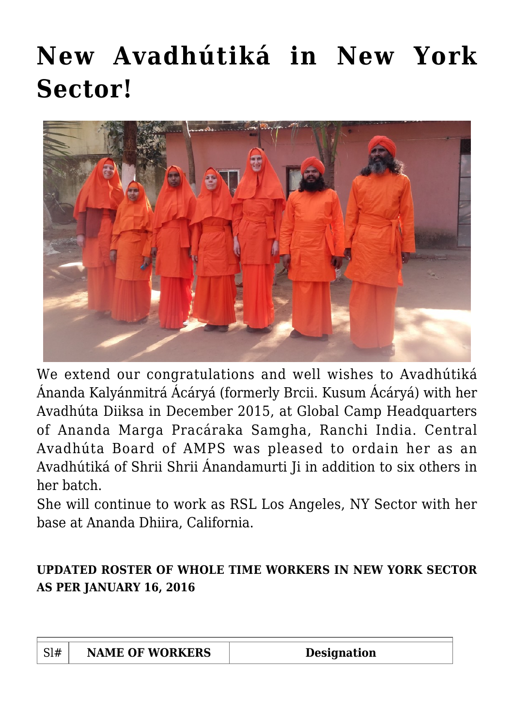## **[New Avadhútiká in New York](https://crimsondawn.net/portfolio/wt-list-and-postings-oct-2015-wrds/) [Sector!](https://crimsondawn.net/portfolio/wt-list-and-postings-oct-2015-wrds/)**



We extend our congratulations and well wishes to Avadhútiká Ánanda Kalyánmitrá Ácáryá (formerly Brcii. Kusum Ácáryá) with her Avadhúta Diiksa in December 2015, at Global Camp Headquarters of Ananda Marga Pracáraka Samgha, Ranchi India. Central Avadhúta Board of AMPS was pleased to ordain her as an Avadhútiká of Shrii Shrii Ánandamurti Ji in addition to six others in her batch.

She will continue to work as RSL Los Angeles, NY Sector with her base at Ananda Dhiira, California.

## **UPDATED ROSTER OF WHOLE TIME WORKERS IN NEW YORK SECTOR AS PER JANUARY 16, 2016**

| <b>NAME OF WORKERS</b> | Designation |
|------------------------|-------------|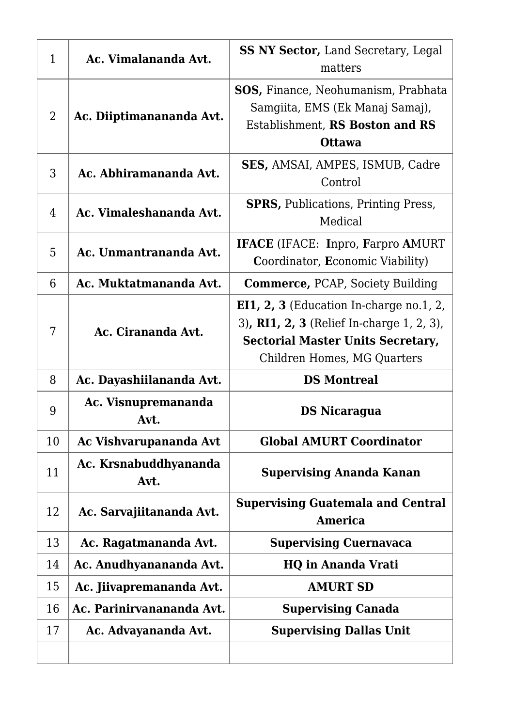| $\mathbf{1}$   | Ac. Vimalananda Avt.          | <b>SS NY Sector, Land Secretary, Legal</b><br>matters                                                                                                                |
|----------------|-------------------------------|----------------------------------------------------------------------------------------------------------------------------------------------------------------------|
| $\overline{2}$ | Ac. Diiptimanananda Avt.      | <b>SOS, Finance, Neohumanism, Prabhata</b><br>Samgiita, EMS (Ek Manaj Samaj),<br>Establishment, RS Boston and RS<br><b>Ottawa</b>                                    |
| 3              | Ac. Abhiramananda Avt.        | <b>SES, AMSAI, AMPES, ISMUB, Cadre</b><br>Control                                                                                                                    |
| 4              | Ac. Vimaleshananda Avt.       | <b>SPRS, Publications, Printing Press,</b><br>Medical                                                                                                                |
| 5              | Ac. Unmantrananda Avt.        | <b>IFACE</b> (IFACE: Inpro, Farpro AMURT<br><b>Coordinator, Economic Viability)</b>                                                                                  |
| 6              | Ac. Muktatmananda Avt.        | <b>Commerce, PCAP, Society Building</b>                                                                                                                              |
| 7              | Ac. Cirananda Avt.            | EI1, $2$ , $3$ (Education In-charge no.1, 2,<br>3), RI1, 2, 3 (Relief In-charge 1, 2, 3),<br><b>Sectorial Master Units Secretary,</b><br>Children Homes, MG Quarters |
| 8              | Ac. Dayashiilananda Avt.      | <b>DS Montreal</b>                                                                                                                                                   |
| 9              | Ac. Visnupremananda<br>Avt.   | <b>DS Nicaragua</b>                                                                                                                                                  |
| 10             | Ac Vishvarupananda Avt        | <b>Global AMURT Coordinator</b>                                                                                                                                      |
| 11             | Ac. Krsnabuddhyananda<br>Avt. | <b>Supervising Ananda Kanan</b>                                                                                                                                      |
| 12             | Ac. Sarvajiitananda Avt.      | <b>Supervising Guatemala and Central</b><br><b>America</b>                                                                                                           |
| 13             | Ac. Ragatmananda Avt.         | <b>Supervising Cuernavaca</b>                                                                                                                                        |
| 14             | Ac. Anudhyanananda Avt.       | <b>HQ in Ananda Vrati</b>                                                                                                                                            |
| 15             | Ac. Jiivapremananda Avt.      | <b>AMURT SD</b>                                                                                                                                                      |
| 16             | Ac. Parinirvanananda Avt.     | <b>Supervising Canada</b>                                                                                                                                            |
| 17             | Ac. Advayananda Avt.          | <b>Supervising Dallas Unit</b>                                                                                                                                       |
|                |                               |                                                                                                                                                                      |